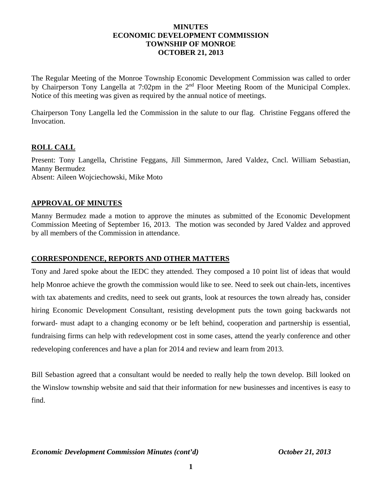## **MINUTES ECONOMIC DEVELOPMENT COMMISSION TOWNSHIP OF MONROE OCTOBER 21, 2013**

The Regular Meeting of the Monroe Township Economic Development Commission was called to order by Chairperson Tony Langella at 7:02pm in the 2<sup>nd</sup> Floor Meeting Room of the Municipal Complex. Notice of this meeting was given as required by the annual notice of meetings.

Chairperson Tony Langella led the Commission in the salute to our flag. Christine Feggans offered the Invocation.

## **ROLL CALL**

Present: Tony Langella, Christine Feggans, Jill Simmermon, Jared Valdez, Cncl. William Sebastian, Manny Bermudez Absent: Aileen Wojciechowski, Mike Moto

## **APPROVAL OF MINUTES**

Manny Bermudez made a motion to approve the minutes as submitted of the Economic Development Commission Meeting of September 16, 2013. The motion was seconded by Jared Valdez and approved by all members of the Commission in attendance.

# **CORRESPONDENCE, REPORTS AND OTHER MATTERS**

Tony and Jared spoke about the IEDC they attended. They composed a 10 point list of ideas that would help Monroe achieve the growth the commission would like to see. Need to seek out chain-lets, incentives with tax abatements and credits, need to seek out grants, look at resources the town already has, consider hiring Economic Development Consultant, resisting development puts the town going backwards not forward- must adapt to a changing economy or be left behind, cooperation and partnership is essential, fundraising firms can help with redevelopment cost in some cases, attend the yearly conference and other redeveloping conferences and have a plan for 2014 and review and learn from 2013.

Bill Sebastion agreed that a consultant would be needed to really help the town develop. Bill looked on the Winslow township website and said that their information for new businesses and incentives is easy to find.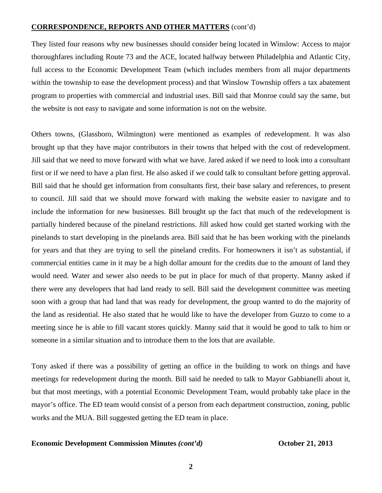#### **CORRESPONDENCE, REPORTS AND OTHER MATTERS** (cont'd)

They listed four reasons why new businesses should consider being located in Winslow: Access to major thoroughfares including Route 73 and the ACE, located halfway between Philadelphia and Atlantic City, full access to the Economic Development Team (which includes members from all major departments within the township to ease the development process) and that Winslow Township offers a tax abatement program to properties with commercial and industrial uses. Bill said that Monroe could say the same, but the website is not easy to navigate and some information is not on the website.

Others towns, (Glassboro, Wilmington) were mentioned as examples of redevelopment. It was also brought up that they have major contributors in their towns that helped with the cost of redevelopment. Jill said that we need to move forward with what we have. Jared asked if we need to look into a consultant first or if we need to have a plan first. He also asked if we could talk to consultant before getting approval. Bill said that he should get information from consultants first, their base salary and references, to present to council. Jill said that we should move forward with making the website easier to navigate and to include the information for new businesses. Bill brought up the fact that much of the redevelopment is partially hindered because of the pineland restrictions. Jill asked how could get started working with the pinelands to start developing in the pinelands area. Bill said that he has been working with the pinelands for years and that they are trying to sell the pineland credits. For homeowners it isn't as substantial, if commercial entities came in it may be a high dollar amount for the credits due to the amount of land they would need. Water and sewer also needs to be put in place for much of that property. Manny asked if there were any developers that had land ready to sell. Bill said the development committee was meeting soon with a group that had land that was ready for development, the group wanted to do the majority of the land as residential. He also stated that he would like to have the developer from Guzzo to come to a meeting since he is able to fill vacant stores quickly. Manny said that it would be good to talk to him or someone in a similar situation and to introduce them to the lots that are available.

Tony asked if there was a possibility of getting an office in the building to work on things and have meetings for redevelopment during the month. Bill said he needed to talk to Mayor Gabbianelli about it, but that most meetings, with a potential Economic Development Team, would probably take place in the mayor's office. The ED team would consist of a person from each department construction, zoning, public works and the MUA. Bill suggested getting the ED team in place.

#### **Economic Development Commission Minutes** *(cont'd)* **October 21, 2013**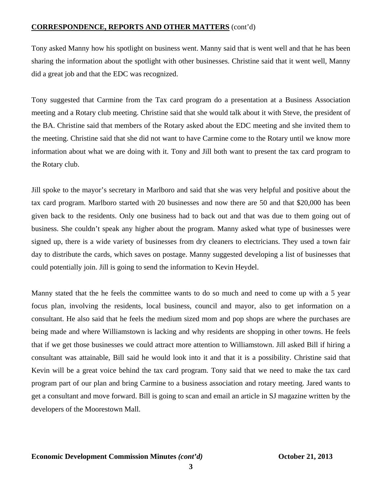# **CORRESPONDENCE, REPORTS AND OTHER MATTERS** (cont'd)

Tony asked Manny how his spotlight on business went. Manny said that is went well and that he has been sharing the information about the spotlight with other businesses. Christine said that it went well, Manny did a great job and that the EDC was recognized.

Tony suggested that Carmine from the Tax card program do a presentation at a Business Association meeting and a Rotary club meeting. Christine said that she would talk about it with Steve, the president of the BA. Christine said that members of the Rotary asked about the EDC meeting and she invited them to the meeting. Christine said that she did not want to have Carmine come to the Rotary until we know more information about what we are doing with it. Tony and Jill both want to present the tax card program to the Rotary club.

Jill spoke to the mayor's secretary in Marlboro and said that she was very helpful and positive about the tax card program. Marlboro started with 20 businesses and now there are 50 and that \$20,000 has been given back to the residents. Only one business had to back out and that was due to them going out of business. She couldn't speak any higher about the program. Manny asked what type of businesses were signed up, there is a wide variety of businesses from dry cleaners to electricians. They used a town fair day to distribute the cards, which saves on postage. Manny suggested developing a list of businesses that could potentially join. Jill is going to send the information to Kevin Heydel.

Manny stated that the he feels the committee wants to do so much and need to come up with a 5 year focus plan, involving the residents, local business, council and mayor, also to get information on a consultant. He also said that he feels the medium sized mom and pop shops are where the purchases are being made and where Williamstown is lacking and why residents are shopping in other towns. He feels that if we get those businesses we could attract more attention to Williamstown. Jill asked Bill if hiring a consultant was attainable, Bill said he would look into it and that it is a possibility. Christine said that Kevin will be a great voice behind the tax card program. Tony said that we need to make the tax card program part of our plan and bring Carmine to a business association and rotary meeting. Jared wants to get a consultant and move forward. Bill is going to scan and email an article in SJ magazine written by the developers of the Moorestown Mall.